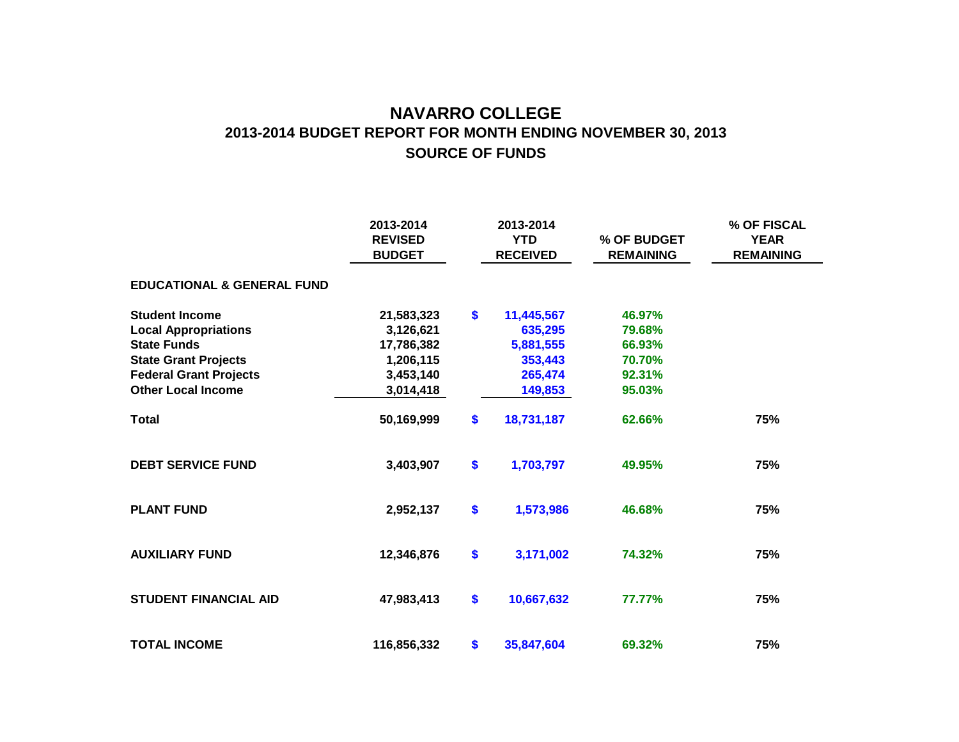## **NAVARRO COLLEGE SOURCE OF FUNDS 2013-2014 BUDGET REPORT FOR MONTH ENDING NOVEMBER 30, 2013**

|                                       | 2013-2014<br><b>REVISED</b><br><b>BUDGET</b> | 2013-2014<br><b>YTD</b><br><b>RECEIVED</b> |            | % OF BUDGET<br><b>REMAINING</b> | % OF FISCAL<br><b>YEAR</b><br><b>REMAINING</b> |  |
|---------------------------------------|----------------------------------------------|--------------------------------------------|------------|---------------------------------|------------------------------------------------|--|
| <b>EDUCATIONAL &amp; GENERAL FUND</b> |                                              |                                            |            |                                 |                                                |  |
| <b>Student Income</b>                 | 21,583,323                                   | \$                                         | 11,445,567 | 46.97%                          |                                                |  |
| <b>Local Appropriations</b>           | 3,126,621                                    |                                            | 635,295    | 79.68%                          |                                                |  |
| <b>State Funds</b>                    | 17,786,382                                   |                                            | 5,881,555  | 66.93%                          |                                                |  |
| <b>State Grant Projects</b>           | 1,206,115                                    |                                            | 353,443    | 70.70%                          |                                                |  |
| <b>Federal Grant Projects</b>         | 3,453,140                                    |                                            | 265,474    | 92.31%                          |                                                |  |
| <b>Other Local Income</b>             | 3,014,418                                    |                                            | 149,853    | 95.03%                          |                                                |  |
| <b>Total</b>                          | 50,169,999                                   | \$                                         | 18,731,187 | 62.66%                          | 75%                                            |  |
| <b>DEBT SERVICE FUND</b>              | 3,403,907                                    | \$                                         | 1,703,797  | 49.95%                          | 75%                                            |  |
| <b>PLANT FUND</b>                     | 2,952,137                                    | \$                                         | 1,573,986  | 46.68%                          | 75%                                            |  |
| <b>AUXILIARY FUND</b>                 | 12,346,876                                   | \$                                         | 3,171,002  | 74.32%                          | 75%                                            |  |
| <b>STUDENT FINANCIAL AID</b>          | 47,983,413                                   | \$                                         | 10,667,632 | 77.77%                          | 75%                                            |  |
| <b>TOTAL INCOME</b>                   | 116,856,332                                  | \$                                         | 35,847,604 | 69.32%                          | 75%                                            |  |